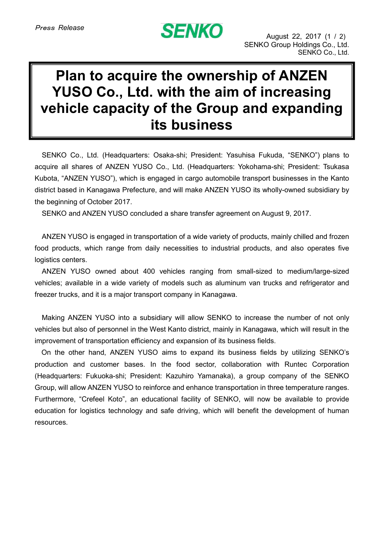## **SENKO**

## **Plan to acquire the ownership of ANZEN YUSO Co., Ltd. with the aim of increasing vehicle capacity of the Group and expanding its business**

SENKO Co., Ltd. (Headquarters: Osaka-shi; President: Yasuhisa Fukuda, "SENKO") plans to acquire all shares of ANZEN YUSO Co., Ltd. (Headquarters: Yokohama-shi; President: Tsukasa Kubota, "ANZEN YUSO"), which is engaged in cargo automobile transport businesses in the Kanto district based in Kanagawa Prefecture, and will make ANZEN YUSO its wholly-owned subsidiary by the beginning of October 2017.

SENKO and ANZEN YUSO concluded a share transfer agreement on August 9, 2017.

ANZEN YUSO is engaged in transportation of a wide variety of products, mainly chilled and frozen food products, which range from daily necessities to industrial products, and also operates five logistics centers.

ANZEN YUSO owned about 400 vehicles ranging from small-sized to medium/large-sized vehicles; available in a wide variety of models such as aluminum van trucks and refrigerator and freezer trucks, and it is a major transport company in Kanagawa.

Making ANZEN YUSO into a subsidiary will allow SENKO to increase the number of not only vehicles but also of personnel in the West Kanto district, mainly in Kanagawa, which will result in the improvement of transportation efficiency and expansion of its business fields.

On the other hand, ANZEN YUSO aims to expand its business fields by utilizing SENKO's production and customer bases. In the food sector, collaboration with Runtec Corporation (Headquarters: Fukuoka-shi; President: Kazuhiro Yamanaka), a group company of the SENKO Group, will allow ANZEN YUSO to reinforce and enhance transportation in three temperature ranges. Furthermore, "Crefeel Koto", an educational facility of SENKO, will now be available to provide education for logistics technology and safe driving, which will benefit the development of human resources.